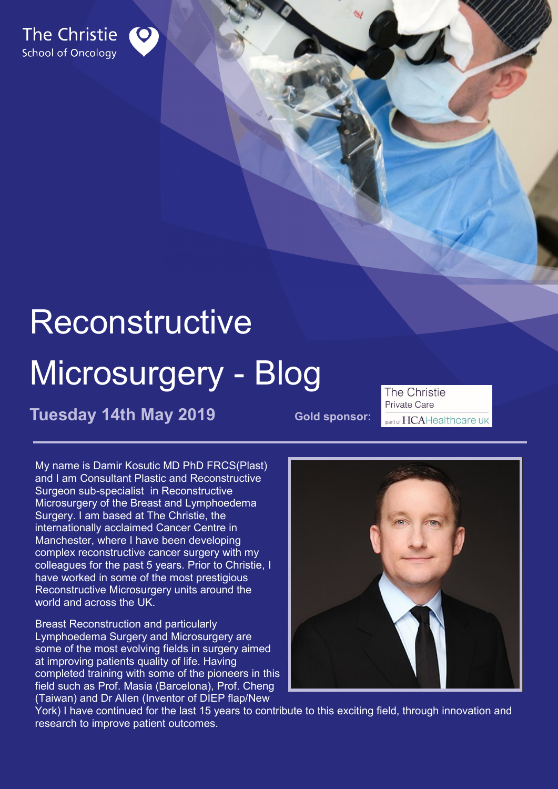

# Reconstructive

## Microsurgery - Blog

**Tuesday 14th May 2019** Gold sponsor:

The Christie Private Care part of HCAHealthcare UK

My name is Damir Kosutic MD PhD FRCS(Plast) and I am Consultant Plastic and Reconstructive Surgeon sub-specialist in Reconstructive Microsurgery of the Breast and Lymphoedema Surgery. I am based at The Christie, the internationally acclaimed Cancer Centre in Manchester, where I have been developing complex reconstructive cancer surgery with my colleagues for the past 5 years. Prior to Christie, I have worked in some of the most prestigious Reconstructive Microsurgery units around the world and across the UK.

Breast Reconstruction and particularly Lymphoedema Surgery and Microsurgery are some of the most evolving fields in surgery aimed at improving patients quality of life. Having completed training with some of the pioneers in this field such as Prof. Masia (Barcelona), Prof. Cheng (Taiwan) and Dr Allen (Inventor of DIEP flap/New



York) I have continued for the last 15 years to contribute to this exciting field, through innovation and research to improve patient outcomes.